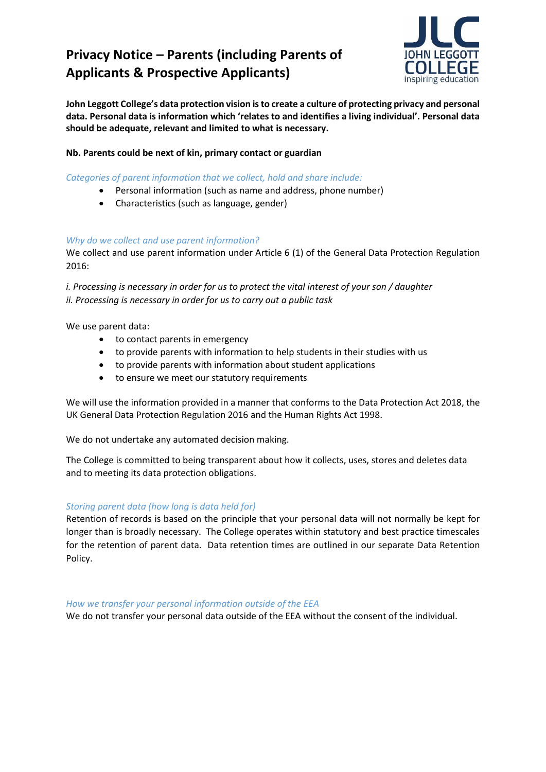# **Privacy Notice – Parents (including Parents of Applicants & Prospective Applicants)**



**John Leggott College's data protection vision is to create a culture of protecting privacy and personal data. Personal data is information which 'relates to and identifies a living individual'. Personal data should be adequate, relevant and limited to what is necessary.**

## **Nb. Parents could be next of kin, primary contact or guardian**

*Categories of parent information that we collect, hold and share include:*

- Personal information (such as name and address, phone number)
- Characteristics (such as language, gender)

#### *Why do we collect and use parent information?*

We collect and use parent information under Article 6 (1) of the General Data Protection Regulation 2016:

*i. Processing is necessary in order for us to protect the vital interest of your son / daughter ii. Processing is necessary in order for us to carry out a public task*

We use parent data:

- to contact parents in emergency
- to provide parents with information to help students in their studies with us
- to provide parents with information about student applications
- to ensure we meet our statutory requirements

We will use the information provided in a manner that conforms to the Data Protection Act 2018, the UK General Data Protection Regulation 2016 and the Human Rights Act 1998.

We do not undertake any automated decision making.

The College is committed to being transparent about how it collects, uses, stores and deletes data and to meeting its data protection obligations.

## *Storing parent data (how long is data held for)*

Retention of records is based on the principle that your personal data will not normally be kept for longer than is broadly necessary. The College operates within statutory and best practice timescales for the retention of parent data. Data retention times are outlined in our separate Data Retention Policy.

#### *How we transfer your personal information outside of the EEA*

We do not transfer your personal data outside of the EEA without the consent of the individual.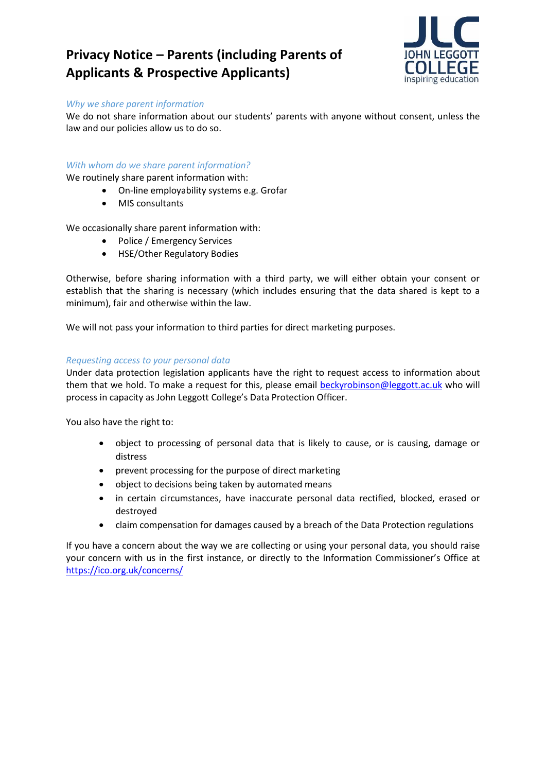## **Privacy Notice – Parents (including Parents of Applicants & Prospective Applicants)**



#### *Why we share parent information*

We do not share information about our students' parents with anyone without consent, unless the law and our policies allow us to do so.

### *With whom do we share parent information?*

We routinely share parent information with:

- On-line employability systems e.g. Grofar
- MIS consultants

We occasionally share parent information with:

- Police / Emergency Services
- HSE/Other Regulatory Bodies

Otherwise, before sharing information with a third party, we will either obtain your consent or establish that the sharing is necessary (which includes ensuring that the data shared is kept to a minimum), fair and otherwise within the law.

We will not pass your information to third parties for direct marketing purposes.

#### *Requesting access to your personal data*

Under data protection legislation applicants have the right to request access to information about them that we hold. To make a request for this, please email [beckyrobinson@leggott.ac.uk](mailto:beckyrobinson@leggott.ac.uk) who will process in capacity as John Leggott College's Data Protection Officer.

You also have the right to:

- object to processing of personal data that is likely to cause, or is causing, damage or distress
- prevent processing for the purpose of direct marketing
- object to decisions being taken by automated means
- in certain circumstances, have inaccurate personal data rectified, blocked, erased or destroyed
- claim compensation for damages caused by a breach of the Data Protection regulations

If you have a concern about the way we are collecting or using your personal data, you should raise your concern with us in the first instance, or directly to the Information Commissioner's Office at <https://ico.org.uk/concerns/>